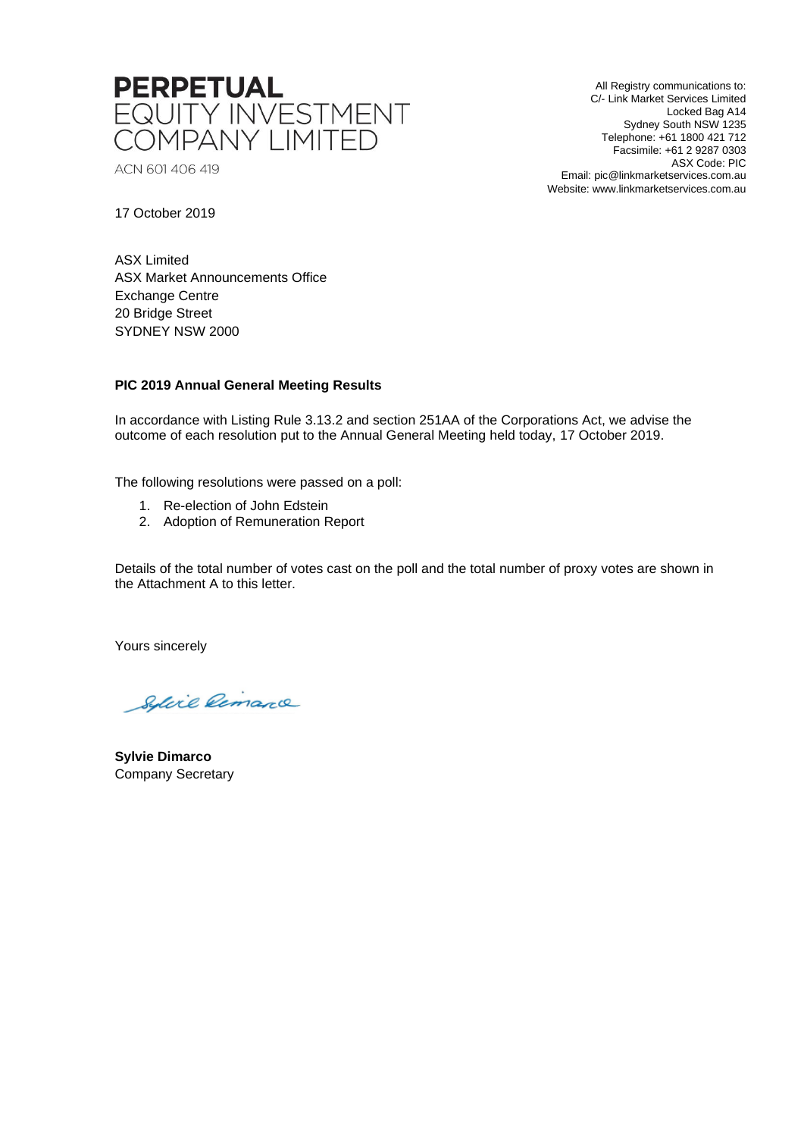

ACN 601 406 419

All Registry communications to: C/- Link Market Services Limited Locked Bag A14 Sydney South NSW 1235 Telephone: +61 1800 421 712 Facsimile: +61 2 9287 0303 ASX Code: PIC Email: pic@linkmarketservices.com.au Website: www.linkmarketservices.com.au

17 October 2019

ASX Limited ASX Market Announcements Office Exchange Centre 20 Bridge Street SYDNEY NSW 2000

## **PIC 2019 Annual General Meeting Results**

In accordance with Listing Rule 3.13.2 and section 251AA of the Corporations Act, we advise the outcome of each resolution put to the Annual General Meeting held today, 17 October 2019.

The following resolutions were passed on a poll:

- 1. Re-election of John Edstein
- 2. Adoption of Remuneration Report

Details of the total number of votes cast on the poll and the total number of proxy votes are shown in the Attachment A to this letter.

Yours sincerely

Sylvie Remarce

**Sylvie Dimarco** Company Secretary